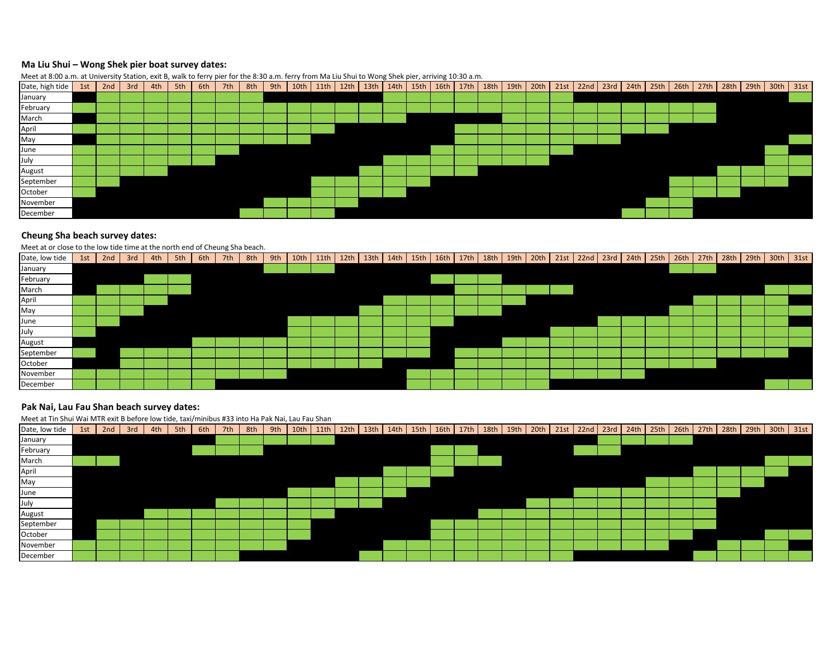# **Ma Liu Shui – Wong Shek pier boat survey dates:**



### **Cheung Sha beach survey dates:**

#### Meet at or close to the low tide time at the north end of Cheung Sha beach.

| Date, low tide | 1st | 2nd | 3rd | 4th | 5th | 6th | 7th | 8th | 9th |  | $10th$ 11th 12th |  |  |  | 13th 14th 15th 16th 17th 18th 19th 19th 20th 21st 22nd 23rd 24th 25th 26th 27th 28th 29th 30th 31st |  |  |  |  |  |  |
|----------------|-----|-----|-----|-----|-----|-----|-----|-----|-----|--|------------------|--|--|--|-----------------------------------------------------------------------------------------------------|--|--|--|--|--|--|
| January        |     |     |     |     |     |     |     |     |     |  |                  |  |  |  |                                                                                                     |  |  |  |  |  |  |
| February       |     |     |     |     |     |     |     |     |     |  |                  |  |  |  |                                                                                                     |  |  |  |  |  |  |
| March          |     |     |     |     |     |     |     |     |     |  |                  |  |  |  |                                                                                                     |  |  |  |  |  |  |
| April          |     |     |     |     |     |     |     |     |     |  |                  |  |  |  |                                                                                                     |  |  |  |  |  |  |
| May            |     |     |     |     |     |     |     |     |     |  |                  |  |  |  |                                                                                                     |  |  |  |  |  |  |
| June           |     |     |     |     |     |     |     |     |     |  |                  |  |  |  |                                                                                                     |  |  |  |  |  |  |
| July           |     |     |     |     |     |     |     |     |     |  |                  |  |  |  |                                                                                                     |  |  |  |  |  |  |
| August         |     |     |     |     |     |     |     |     |     |  |                  |  |  |  |                                                                                                     |  |  |  |  |  |  |
| September      |     |     |     |     |     |     |     |     |     |  |                  |  |  |  |                                                                                                     |  |  |  |  |  |  |
| October        |     |     |     |     |     |     |     |     |     |  |                  |  |  |  |                                                                                                     |  |  |  |  |  |  |
| November       |     |     |     |     |     |     |     |     |     |  |                  |  |  |  |                                                                                                     |  |  |  |  |  |  |
| December       |     |     |     |     |     |     |     |     |     |  |                  |  |  |  |                                                                                                     |  |  |  |  |  |  |

## **Pak Nai, Lau Fau Shan beach survey dates:**

Meet at Tin Shui Wai MTR exit B before low tide, taxi/minibus #33 into Ha Pak Nai, Lau Fau Shan